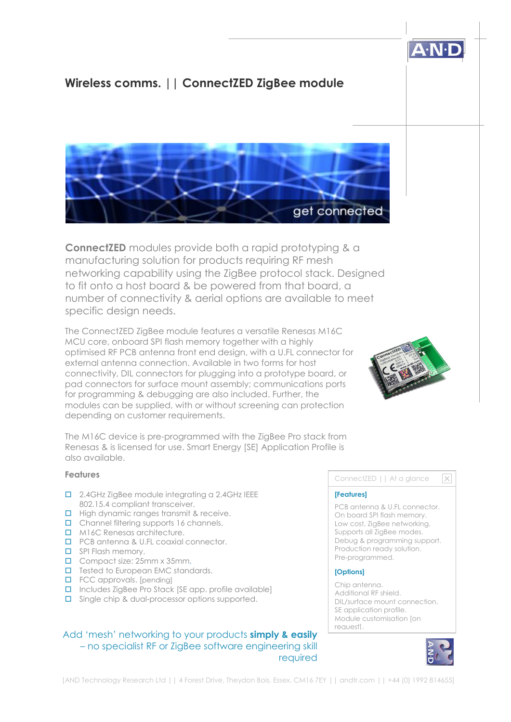# **Wireless comms. || ConnectZED ZigBee module**



**ConnectZED** modules provide both a rapid prototyping & a manufacturing solution for products requiring RF mesh networking capability using the ZigBee protocol stack. Designed to fit onto a host board & be powered from that board, a number of connectivity & aerial options are available to meet specific design needs.

The ConnectZED ZigBee module features a versatile Renesas M16C MCU core, onboard SPI flash memory together with a highly optimised RF PCB antenna front end design, with a U.FL connector for external antenna connection. Available in two forms for host connectivity, DIL connectors for plugging into a prototype board, or pad connectors for surface mount assembly; communications ports for programming & debugging are also included. Further, the modules can be supplied, with or without screening can protection depending on customer requirements.



The M16C device is pre-programmed with the ZigBee Pro stack from Renesas & is licensed for use. Smart Energy [SE] Application Profile is also available.

#### **Features**

- 2.4GHz ZigBee module integrating a 2.4GHz IEEE 802.15.4 compliant transceiver.
- High dynamic ranges transmit & receive.
- Channel filtering supports 16 channels.
- M16C Renesas architecture.
- **D** PCB antenna & U.FL coaxial connector.
- **D** SPI Flash memory.
- Compact size: 25mm x 35mm.
- $\Box$  Tested to European EMC standards.
- **D** FCC approvals. [pending]
- $\Box$  Includes ZigBee Pro Stack [SE app. profile available]
- □ Single chip & dual-processor options supported.

# Add 'mesh' networking to your products **simply & easily** – no specialist RF or ZigBee software engineering skill required

#### ConnectZED || At a glance

#### **[Features]**

PCB antenna & U.FL connector. On board SPI flash memory. Low cost, ZigBee networking. Supports all ZigBee modes. Debug & programming support. Production ready solution. Pre-programmed.

#### **[Options]**

Chip antenna. Additional RF shield. DIL/surface mount connection. SE application profile. Module customisation [on request].



 $\overline{\times}$